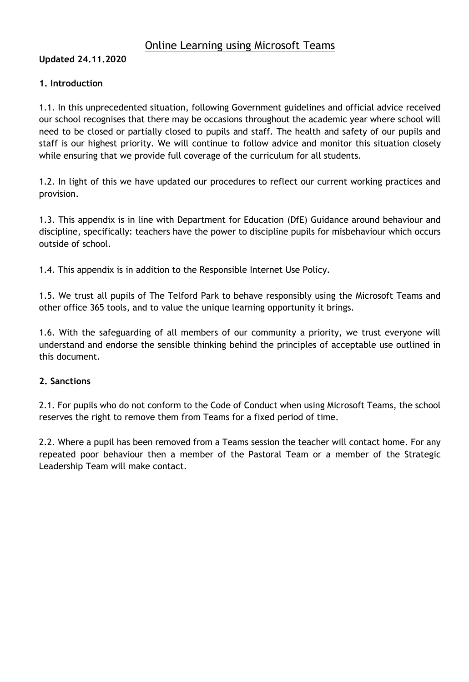### Online Learning using Microsoft Teams

**Updated 24.11.2020**

#### **1. Introduction**

1.1. In this unprecedented situation, following Government guidelines and official advice received our school recognises that there may be occasions throughout the academic year where school will need to be closed or partially closed to pupils and staff. The health and safety of our pupils and staff is our highest priority. We will continue to follow advice and monitor this situation closely while ensuring that we provide full coverage of the curriculum for all students.

1.2. In light of this we have updated our procedures to reflect our current working practices and provision.

1.3. This appendix is in line with Department for Education (DfE) Guidance around behaviour and discipline, specifically: teachers have the power to discipline pupils for misbehaviour which occurs outside of school.

1.4. This appendix is in addition to the Responsible Internet Use Policy.

1.5. We trust all pupils of The Telford Park to behave responsibly using the Microsoft Teams and other office 365 tools, and to value the unique learning opportunity it brings.

1.6. With the safeguarding of all members of our community a priority, we trust everyone will understand and endorse the sensible thinking behind the principles of acceptable use outlined in this document.

#### **2. Sanctions**

2.1. For pupils who do not conform to the Code of Conduct when using Microsoft Teams, the school reserves the right to remove them from Teams for a fixed period of time.

2.2. Where a pupil has been removed from a Teams session the teacher will contact home. For any repeated poor behaviour then a member of the Pastoral Team or a member of the Strategic Leadership Team will make contact.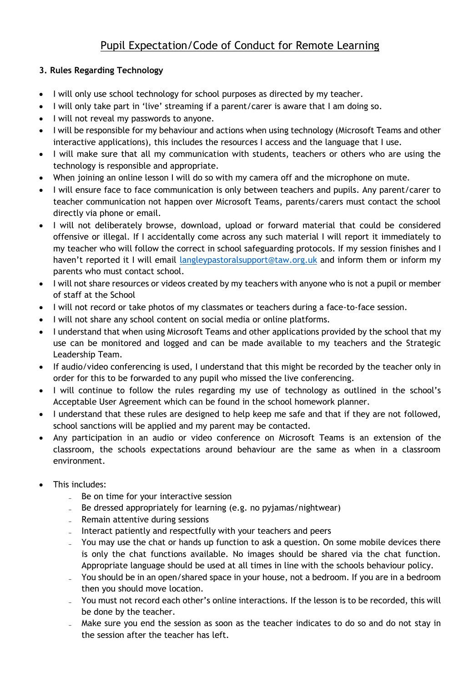## Pupil Expectation/Code of Conduct for Remote Learning

#### **3. Rules Regarding Technology**

- I will only use school technology for school purposes as directed by my teacher.
- I will only take part in 'live' streaming if a parent/carer is aware that I am doing so.
- I will not reveal my passwords to anyone.
- I will be responsible for my behaviour and actions when using technology (Microsoft Teams and other interactive applications), this includes the resources I access and the language that I use.
- I will make sure that all my communication with students, teachers or others who are using the technology is responsible and appropriate.
- When joining an online lesson I will do so with my camera off and the microphone on mute.
- I will ensure face to face communication is only between teachers and pupils. Any parent/carer to teacher communication not happen over Microsoft Teams, parents/carers must contact the school directly via phone or email.
- I will not deliberately browse, download, upload or forward material that could be considered offensive or illegal. If I accidentally come across any such material I will report it immediately to my teacher who will follow the correct in school safeguarding protocols. If my session finishes and I haven't reported it I will email [langleypastoralsupport@taw.org.uk](mailto:langleypastoralsupport@taw.org.uk) and inform them or inform my parents who must contact school.
- I will not share resources or videos created by my teachers with anyone who is not a pupil or member of staff at the School
- I will not record or take photos of my classmates or teachers during a face-to-face session.
- I will not share any school content on social media or online platforms.
- I understand that when using Microsoft Teams and other applications provided by the school that my use can be monitored and logged and can be made available to my teachers and the Strategic Leadership Team.
- If audio/video conferencing is used, I understand that this might be recorded by the teacher only in order for this to be forwarded to any pupil who missed the live conferencing.
- I will continue to follow the rules regarding my use of technology as outlined in the school's Acceptable User Agreement which can be found in the school homework planner.
- I understand that these rules are designed to help keep me safe and that if they are not followed, school sanctions will be applied and my parent may be contacted.
- Any participation in an audio or video conference on Microsoft Teams is an extension of the classroom, the schools expectations around behaviour are the same as when in a classroom environment.
- This includes:
	- ˗ Be on time for your interactive session
	- Be dressed appropriately for learning (e.g. no pyjamas/nightwear)
	- ˗ Remain attentive during sessions
	- ˗ Interact patiently and respectfully with your teachers and peers
	- You may use the chat or hands up function to ask a question. On some mobile devices there is only the chat functions available. No images should be shared via the chat function. Appropriate language should be used at all times in line with the schools behaviour policy.
	- ˗ You should be in an open/shared space in your house, not a bedroom. If you are in a bedroom then you should move location.
	- ˗ You must not record each other's online interactions. If the lesson is to be recorded, this will be done by the teacher.
	- Make sure you end the session as soon as the teacher indicates to do so and do not stay in the session after the teacher has left.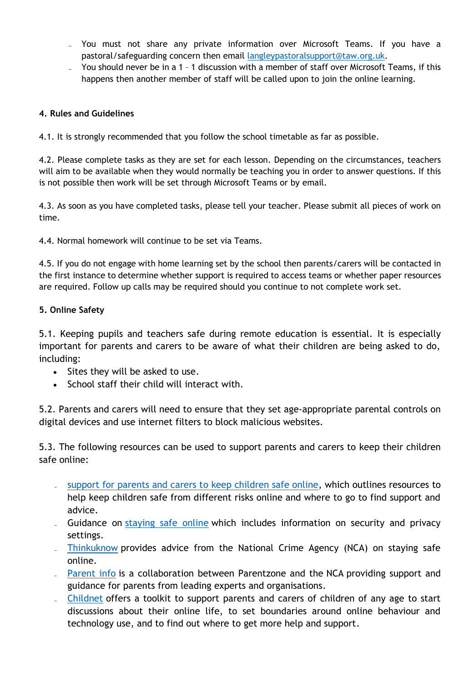- ˗ You must not share any private information over Microsoft Teams. If you have a pastoral/safeguarding concern then email [langleypastoralsupport@taw.org.uk.](mailto:langleypastoralsupport@taw.org.uk)
- ˗ You should never be in a 1 1 discussion with a member of staff over Microsoft Teams, if this happens then another member of staff will be called upon to join the online learning.

#### **4. Rules and Guidelines**

4.1. It is strongly recommended that you follow the school timetable as far as possible.

4.2. Please complete tasks as they are set for each lesson. Depending on the circumstances, teachers will aim to be available when they would normally be teaching you in order to answer questions. If this is not possible then work will be set through Microsoft Teams or by email.

4.3. As soon as you have completed tasks, please tell your teacher. Please submit all pieces of work on time.

4.4. Normal homework will continue to be set via Teams.

4.5. If you do not engage with home learning set by the school then parents/carers will be contacted in the first instance to determine whether support is required to access teams or whether paper resources are required. Follow up calls may be required should you continue to not complete work set.

#### **5. Online Safety**

5.1. Keeping pupils and teachers safe during remote education is essential. It is especially important for parents and carers to be aware of what their children are being asked to do, including:

- Sites they will be asked to use.
- School staff their child will interact with.

5.2. Parents and carers will need to ensure that they set age-appropriate parental controls on digital devices and use internet filters to block malicious websites.

5.3. The following resources can be used to support parents and carers to keep their children safe online:

- [support for parents and carers to keep children safe online,](https://www.gov.uk/government/publications/coronavirus-covid-19-keeping-children-safe-online/coronavirus-covid-19-support-for-parents-and-carers-to-keep-children-safe-online) which outlines resources to help keep children safe from different risks online and where to go to find support and advice.
- ˗ Guidance on [staying safe online](https://www.gov.uk/guidance/covid-19-staying-safe-online) which includes information on security and privacy settings.
- **[Thinkuknow](https://www.thinkuknow.co.uk/) provides advice from the National Crime Agency (NCA) on staying safe** online.
- ˗ [Parent info](https://parentinfo.org/) is a collaboration between Parentzone and the NCA providing support and guidance for parents from leading experts and organisations.
- ˗ [Childnet](https://www.childnet.com/parents-and-carers/parent-and-carer-toolkit) offers a toolkit to support parents and carers of children of any age to start discussions about their online life, to set boundaries around online behaviour and technology use, and to find out where to get more help and support.